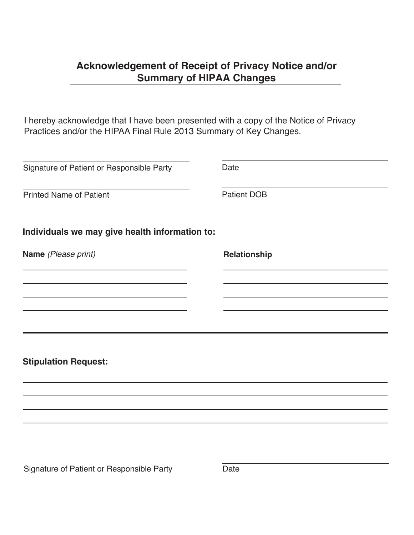## **Acknowledgement of Receipt of Privacy Notice and/or Summary of HIPAA Changes**

I hereby acknowledge that I have been presented with a copy of the Notice of Privacy Practices and/or the HIPAA Final Rule 2013 Summary of Key Changes.

| Signature of Patient or Responsible Party      | Date               |
|------------------------------------------------|--------------------|
| <b>Printed Name of Patient</b>                 | <b>Patient DOB</b> |
| Individuals we may give health information to: |                    |
| Name (Please print)                            | Relationship       |
|                                                |                    |
|                                                |                    |
|                                                |                    |
|                                                |                    |
| <b>Stipulation Request:</b>                    |                    |
|                                                |                    |
|                                                |                    |
|                                                |                    |
|                                                |                    |
|                                                |                    |
| Signature of Patient or Responsible Party      | Date               |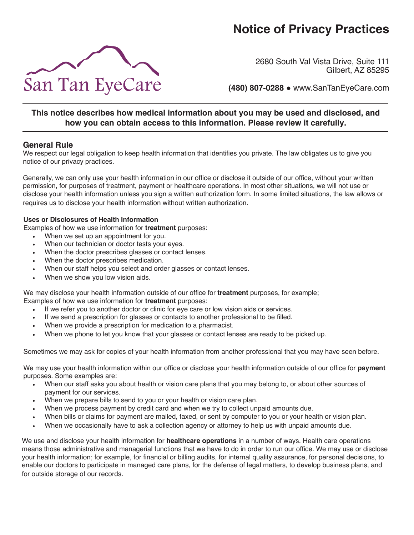# **Notice of Privacy Practices**



2680 South Val Vista Drive, Suite 111 Gilbert, AZ 85295

**(480) 807-0288** ● www.SanTanEyeCare.com

### **This notice describes how medical information about you may be used and disclosed, and how you can obtain access to this information. Please review it carefully.**

#### **General Rule**

We respect our legal obligation to keep health information that identifies you private. The law obligates us to give you notice of our privacy practices.

Generally, we can only use your health information in our office or disclose it outside of our office, without your written permission, for purposes of treatment, payment or healthcare operations. In most other situations, we will not use or disclose your health information unless you sign a written authorization form. In some limited situations, the law allows or requires us to disclose your health information without written authorization.

#### **Uses or Disclosures of Health Information**

Examples of how we use information for **treatment** purposes:

- When we set up an appointment for you.
- When our technician or doctor tests your eyes.
- When the doctor prescribes glasses or contact lenses.
- When the doctor prescribes medication.
- When our staff helps you select and order glasses or contact lenses.
- When we show you low vision aids.

We may disclose your health information outside of our office for **treatment** purposes, for example; Examples of how we use information for **treatment** purposes:

- If we refer you to another doctor or clinic for eye care or low vision aids or services.
- If we send a prescription for glasses or contacts to another professional to be filled.
- When we provide a prescription for medication to a pharmacist.
- When we phone to let you know that your glasses or contact lenses are ready to be picked up.

Sometimes we may ask for copies of your health information from another professional that you may have seen before.

We may use your health information within our office or disclose your health information outside of our office for **payment** purposes. Some examples are:

- When our staff asks you about health or vision care plans that you may belong to, or about other sources of payment for our services.
- When we prepare bills to send to you or your health or vision care plan.
- When we process payment by credit card and when we try to collect unpaid amounts due.
- When bills or claims for payment are mailed, faxed, or sent by computer to you or your health or vision plan.
- When we occasionally have to ask a collection agency or attorney to help us with unpaid amounts due.

We use and disclose your health information for **healthcare operations** in a number of ways. Health care operations means those administrative and managerial functions that we have to do in order to run our office. We may use or disclose your health information; for example, for financial or billing audits, for internal quality assurance, for personal decisions, to enable our doctors to participate in managed care plans, for the defense of legal matters, to develop business plans, and for outside storage of our records.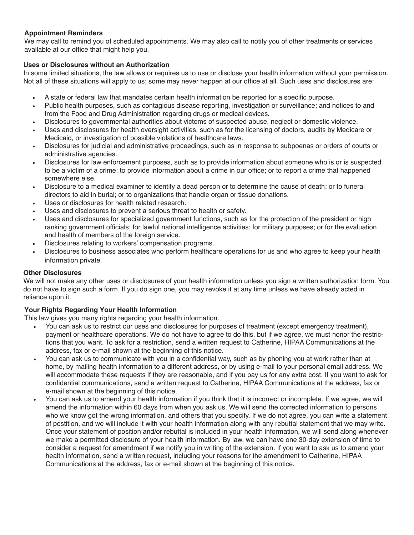#### **Appointment Reminders**

We may call to remind you of scheduled appointments. We may also call to notify you of other treatments or services available at our office that might help you.

#### **Uses or Disclosures without an Authorization**

In some limited situations, the law allows or requires us to use or disclose your health information without your permission. Not all of these situations will apply to us; some may never happen at our office at all. Such uses and disclosures are:

- A state or federal law that mandates certain health information be reported for a specific purpose.
- Public health purposes, such as contagious disease reporting, investigation or surveillance; and notices to and from the Food and Drug Administration regarding drugs or medical devices.
- Disclosures to governmental authorities about victoms of suspected abuse, neglect or domestic violence.
- Uses and disclosures for health oversight activities, such as for the licensing of doctors, audits by Medicare or Medicaid, or investigation of possible violations of healthcare laws.
- Disclosures for judicial and administrative proceedings, such as in response to subpoenas or orders of courts or administrative agencies.
- Disclosures for law enforcement purposes, such as to provide information about someone who is or is suspected to be a victim of a crime; to provide information about a crime in our office; or to report a crime that happened somewhere else.
- Disclosure to a medical examiner to identify a dead person or to determine the cause of death; or to funeral directors to aid in burial; or to organizations that handle organ or tissue donations.
- Uses or disclosures for health related research.
- Uses and disclosures to prevent a serious threat to health or safety.
- Uses and disclosures for specialized government functions, such as for the protection of the president or high ranking government officials; for lawful national intelligence activities; for military purposes; or for the evaluation and health of members of the foreign service.
- Disclosures relating to workers' compensation programs.
- Disclosures to business associates who perform healthcare operations for us and who agree to keep your health information private.

#### **Other Disclosures**

We will not make any other uses or disclosures of your health information unless you sign a written authorization form. You do not have to sign such a form. If you do sign one, you may revoke it at any time unless we have already acted in reliance upon it.

#### **Your Rights Regarding Your Health Information**

This law gives you many rights regarding your health information.

- You can ask us to restrict our uses and disclosures for purposes of treatment (except emergency treatment), payment or healthcare operations. We do not have to agree to do this, but if we agree, we must honor the restrictions that you want. To ask for a restriction, send a written request to Catherine, HIPAA Communications at the address, fax or e-mail shown at the beginning of this notice.
- You can ask us to communicate with you in a confidential way, such as by phoning you at work rather than at home, by mailing health information to a different address, or by using e-mail to your personal email address. We will accommodate these requests if they are reasonable, and if you pay us for any extra cost. If you want to ask for confidential communications, send a written request to Catherine, HIPAA Communications at the address, fax or e-mail shown at the beginning of this notice.
- You can ask us to amend your health information if you think that it is incorrect or incomplete. If we agree, we will amend the information within 60 days from when you ask us. We will send the corrected information to persons who we know got the wrong information, and others that you specify. If we do not agree, you can write a statement of postition, and we will include it with your health information along with any rebuttal statement that we may write. Once your statement of position and/or rebuttal is included in your health information, we will send along whenever we make a permitted disclosure of your health information. By law, we can have one 30-day extension of time to consider a request for amendment if we notify you in writing of the extension. If you want to ask us to amend your health information, send a written request, including your reasons for the amendment to Catherine, HIPAA Communications at the address, fax or e-mail shown at the beginning of this notice.